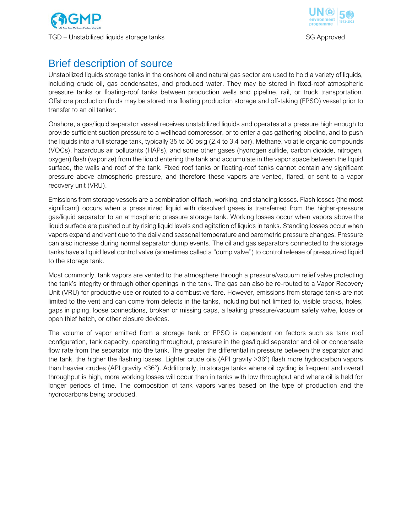



# Brief description of source

Unstabilized liquids storage tanks in the onshore oil and natural gas sector are used to hold a variety of liquids, including crude oil, gas condensates, and produced water. They may be stored in fixed-roof atmospheric pressure tanks or floating-roof tanks between production wells and pipeline, rail, or truck transportation. Offshore production fluids may be stored in a floating production storage and off-taking (FPSO) vessel prior to transfer to an oil tanker.

Onshore, a gas/liquid separator vessel receives unstabilized liquids and operates at a pressure high enough to provide sufficient suction pressure to a wellhead compressor, or to enter a gas gathering pipeline, and to push the liquids into a full storage tank, typically 35 to 50 psig (2.4 to 3.4 bar). Methane, volatile organic compounds (VOCs), hazardous air pollutants (HAPs), and some other gases (hydrogen sulfide, carbon dioxide, nitrogen, oxygen) flash (vaporize) from the liquid entering the tank and accumulate in the vapor space between the liquid surface, the walls and roof of the tank. Fixed roof tanks or floating-roof tanks cannot contain any significant pressure above atmospheric pressure, and therefore these vapors are vented, flared, or sent to a vapor recovery unit (VRU).

Emissions from storage vessels are a combination of flash, working, and standing losses. Flash losses (the most significant) occurs when a pressurized liquid with dissolved gases is transferred from the higher-pressure gas/liquid separator to an atmospheric pressure storage tank. Working losses occur when vapors above the liquid surface are pushed out by rising liquid levels and agitation of liquids in tanks. Standing losses occur when vapors expand and vent due to the daily and seasonal temperature and barometric pressure changes. Pressure can also increase during normal separator dump events. The oil and gas separators connected to the storage tanks have a liquid level control valve (sometimes called a "dump valve") to control release of pressurized liquid to the storage tank.

Most commonly, tank vapors are vented to the atmosphere through a pressure/vacuum relief valve protecting the tank's integrity or through other openings in the tank. The gas can also be re-routed to a Vapor Recovery Unit (VRU) for productive use or routed to a combustive flare. However, emissions from storage tanks are not limited to the vent and can come from defects in the tanks, including but not limited to, visible cracks, holes, gaps in piping, loose connections, broken or missing caps, a leaking pressure/vacuum safety valve, loose or open thief hatch, or other closure devices.

The volume of vapor emitted from a storage tank or FPSO is dependent on factors such as tank roof configuration, tank capacity, operating throughput, pressure in the gas/liquid separator and oil or condensate flow rate from the separator into the tank. The greater the differential in pressure between the separator and the tank, the higher the flashing losses. Lighter crude oils (API gravity >36°) flash more hydrocarbon vapors than heavier crudes (API gravity <36°). Additionally, in storage tanks where oil cycling is frequent and overall throughput is high, more working losses will occur than in tanks with low throughput and where oil is held for longer periods of time. The composition of tank vapors varies based on the type of production and the hydrocarbons being produced.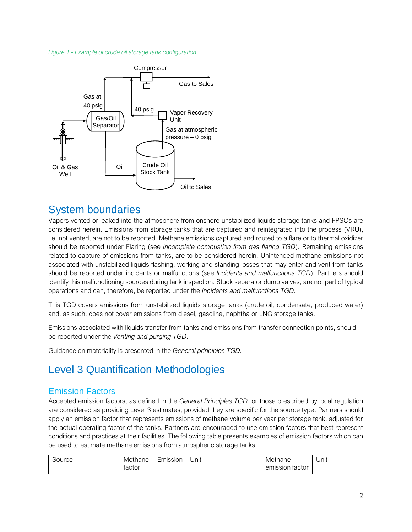#### *Figure 1 - Example of crude oil storage tank configuration*



### System boundaries

Vapors vented or leaked into the atmosphere from onshore unstabilized liquids storage tanks and FPSOs are considered herein. Emissions from storage tanks that are captured and reintegrated into the process (VRU), i.e. not vented, are not to be reported. Methane emissions captured and routed to a flare or to thermal oxidizer should be reported under Flaring (see *Incomplete combustion from gas flaring TGD*). Remaining emissions related to capture of emissions from tanks, are to be considered herein. Unintended methane emissions not associated with unstabilized liquids flashing, working and standing losses that may enter and vent from tanks should be reported under incidents or malfunctions (see *Incidents and malfunctions TGD*)*.* Partners should identify this malfunctioning sources during tank inspection. Stuck separator dump valves, are not part of typical operations and can, therefore, be reported under the *Incidents and malfunctions TGD.*

This TGD covers emissions from unstabilized liquids storage tanks (crude oil, condensate, produced water) and, as such, does not cover emissions from diesel, gasoline, naphtha or LNG storage tanks.

Emissions associated with liquids transfer from tanks and emissions from transfer connection points, should be reported under the *Venting and purging TGD*.

Guidance on materiality is presented in the *General principles TGD.*

# Level 3 Quantification Methodologies

#### Emission Factors

Accepted emission factors, as defined in the *General Principles TGD,* or those prescribed by local regulation are considered as providing Level 3 estimates, provided they are specific for the source type. Partners should apply an emission factor that represents emissions of methane volume per year per storage tank, adjusted for the actual operating factor of the tanks. Partners are encouraged to use emission factors that best represent conditions and practices at their facilities. The following table presents examples of emission factors which can be used to estimate methane emissions from atmospheric storage tanks.

| Source | Methane | Emission | . .<br>Unit | Methane         | Unit |
|--------|---------|----------|-------------|-----------------|------|
|        | tactor  |          |             | emission factor |      |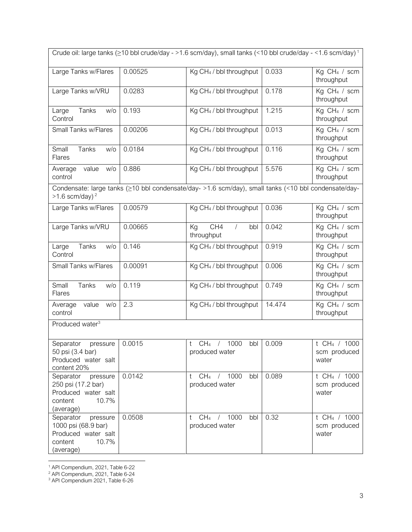| Crude oil: large tanks ( $\geq$ 10 bbl crude/day - >1.6 scm/day), small tanks (<10 bbl crude/day - <1.6 scm/day) <sup>1</sup>        |         |                                                                     |        |                                                     |  |  |  |  |
|--------------------------------------------------------------------------------------------------------------------------------------|---------|---------------------------------------------------------------------|--------|-----------------------------------------------------|--|--|--|--|
| Large Tanks w/Flares                                                                                                                 | 0.00525 | Kg CH <sub>4</sub> / bbl throughput                                 | 0.033  | Kg CH <sub>4</sub> / scm<br>throughput              |  |  |  |  |
| Large Tanks w/VRU                                                                                                                    | 0.0283  | Kg CH <sub>4</sub> / bbl throughput                                 | 0.178  | Kg CH <sub>4</sub> / scm<br>throughput              |  |  |  |  |
| Tanks<br>Large<br>w/o<br>Control                                                                                                     | 0.193   | Kg CH <sub>4</sub> / bbl throughput                                 | 1.215  | Kg CH <sub>4</sub> / scm<br>throughput              |  |  |  |  |
| Small Tanks w/Flares                                                                                                                 | 0.00206 | Kg CH <sub>4</sub> / bbl throughput                                 | 0.013  | Kg CH <sub>4</sub> / scm<br>throughput              |  |  |  |  |
| Small<br>Tanks<br>W/O<br><b>Flares</b>                                                                                               | 0.0184  | Kg CH <sub>4</sub> / bbl throughput                                 | 0.116  | Kg CH <sub>4</sub> / scm<br>throughput              |  |  |  |  |
| Average<br>value<br>W/O<br>control                                                                                                   | 0.886   | Kg CH <sub>4</sub> / bbl throughput                                 | 5.576  | $\overline{K}g$ CH <sub>4</sub> / scm<br>throughput |  |  |  |  |
| Condensate: large tanks (≥10 bbl condensate/day- >1.6 scm/day), small tanks (<10 bbl condensate/day-<br>$>1.6$ scm/day) <sup>2</sup> |         |                                                                     |        |                                                     |  |  |  |  |
| Large Tanks w/Flares                                                                                                                 | 0.00579 | Kg CH <sub>4</sub> / bbl throughput                                 | 0.036  | Kg CH <sub>4</sub> / scm<br>throughput              |  |  |  |  |
| Large Tanks w/VRU                                                                                                                    | 0.00665 | CH4<br>$\sqrt{ }$<br>Kg<br>bbl<br>throughput                        | 0.042  | Kg CH <sub>4</sub> / scm<br>throughput              |  |  |  |  |
| Tanks<br>Large<br>W/O<br>Control                                                                                                     | 0.146   | Kg CH <sub>4</sub> / bbl throughput                                 | 0.919  | Kg CH <sub>4</sub> / scm<br>throughput              |  |  |  |  |
| Small Tanks w/Flares                                                                                                                 | 0.00091 | Kg CH <sub>4</sub> / bbl throughput                                 | 0.006  | Kg CH <sub>4</sub> / scm<br>throughput              |  |  |  |  |
| Small<br>Tanks<br>W/O<br><b>Flares</b>                                                                                               | 0.119   | Kg CH <sub>4</sub> / bbl throughput                                 | 0.749  | Kg CH <sub>4</sub> / scm<br>throughput              |  |  |  |  |
| value<br>W/O<br>Average<br>control                                                                                                   | 2.3     | Kg CH <sub>4</sub> / bbl throughput                                 | 14.474 | Kg CH <sub>4</sub> / scm<br>throughput              |  |  |  |  |
| Produced water <sup>3</sup>                                                                                                          |         |                                                                     |        |                                                     |  |  |  |  |
| Separator<br>pressure<br>50 psi (3.4 bar)<br>Produced water salt<br>content 20%                                                      | 0.0015  | 1000<br>CH <sub>4</sub><br>bbl<br>t<br>$\sqrt{2}$<br>produced water | 0.009  | t CH <sub>4</sub> / 1000<br>scm produced<br>water   |  |  |  |  |
| Separator<br>pressure<br>250 psi (17.2 bar)<br>Produced water salt<br>10.7%<br>content<br>(average)                                  | 0.0142  | CH <sub>4</sub><br>/ 1000<br>bbl<br>t.<br>produced water            | 0.089  | t CH <sub>4</sub> / 1000<br>scm produced<br>water   |  |  |  |  |
| Separator<br>pressure<br>1000 psi (68.9 bar)<br>Produced water salt<br>10.7%<br>content<br>(average)                                 | 0.0508  | / 1000<br>CH <sub>4</sub><br>bbl<br>t<br>produced water             | 0.32   | t CH <sub>4</sub> / 1000<br>scm produced<br>water   |  |  |  |  |

<sup>1</sup> API Compendium, 2021, Table 6-22

 $\overline{a}$ 

<sup>&</sup>lt;sup>2</sup> API Compendium, 2021, Table 6-24

<sup>&</sup>lt;sup>3</sup> API Compendium 2021, Table 6-26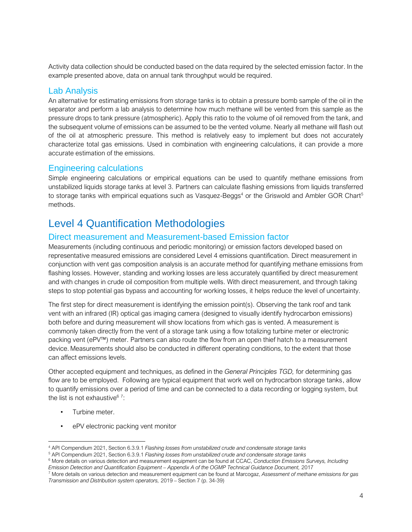Activity data collection should be conducted based on the data required by the selected emission factor. In the example presented above, data on annual tank throughput would be required.

#### Lab Analysis

An alternative for estimating emissions from storage tanks is to obtain a pressure bomb sample of the oil in the separator and perform a lab analysis to determine how much methane will be vented from this sample as the pressure drops to tank pressure (atmospheric). Apply this ratio to the volume of oil removed from the tank, and the subsequent volume of emissions can be assumed to be the vented volume. Nearly all methane will flash out of the oil at atmospheric pressure. This method is relatively easy to implement but does not accurately characterize total gas emissions. Used in combination with engineering calculations, it can provide a more accurate estimation of the emissions.

#### Engineering calculations

Simple engineering calculations or empirical equations can be used to quantify methane emissions from unstabilized liquids storage tanks at level 3. Partners can calculate flashing emissions from liquids transferred to storage tanks with empirical equations such as Vasquez-Beggs<sup>4</sup> or the Griswold and Ambler GOR Chart<sup>5</sup> methods.

## Level 4 Quantification Methodologies

#### Direct measurement and Measurement-based Emission factor

Measurements (including continuous and periodic monitoring) or emission factors developed based on representative measured emissions are considered Level 4 emissions quantification. Direct measurement in conjunction with vent gas composition analysis is an accurate method for quantifying methane emissions from flashing losses. However, standing and working losses are less accurately quantified by direct measurement and with changes in crude oil composition from multiple wells. With direct measurement, and through taking steps to stop potential gas bypass and accounting for working losses, it helps reduce the level of uncertainty.

The first step for direct measurement is identifying the emission point(s). Observing the tank roof and tank vent with an infrared (IR) optical gas imaging camera (designed to visually identify hydrocarbon emissions) both before and during measurement will show locations from which gas is vented. A measurement is commonly taken directly from the vent of a storage tank using a flow totalizing turbine meter or electronic packing vent (ePV™) meter. Partners can also route the flow from an open thief hatch to a measurement device. Measurements should also be conducted in different operating conditions, to the extent that those can affect emissions levels.

Other accepted equipment and techniques, as defined in the *General Principles TGD,* for determining gas flow are to be employed. Following are typical equipment that work well on hydrocarbon storage tanks, allow to quantify emissions over a period of time and can be connected to a data recording or logging system, but the list is not exhaustive $67$ :

• Turbine meter.

j

ePV electronic packing vent monitor

<sup>4</sup> API Compendium 2021, Section 6.3.9.1 *Flashing losses from unstabilized crude and condensate storage tanks*

<sup>5</sup> API Compendium 2021, Section 6.3.9.1 *Flashing losses from unstabilized crude and condensate storage tanks*

<sup>6</sup> More details on various detection and measurement equipment can be found at CCAC, *Conduction Emissions Surveys, Including Emission Detection and Quantification Equipment – Appendix A of the OGMP Technical Guidance Document,* 2017

<sup>7</sup> More details on various detection and measurement equipment can be found at Marcogaz, *Assessment of methane emissions for gas Transmission and Distribution system operators,* 2019 – Section 7 (p. 34-39)